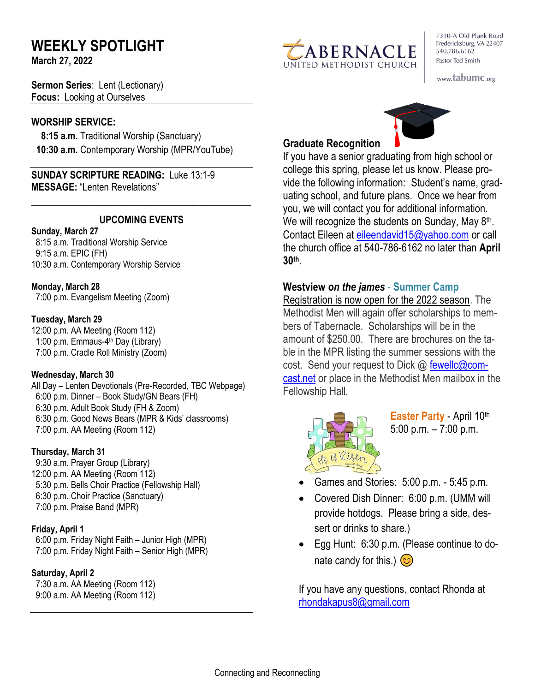# **WEEKLY SPOTLIGHT**

**March 27, 2022** 

**Sermon Series**: Lent (Lectionary) **Focus:** Looking at Ourselves

#### **WORSHIP SERVICE:**

 **8:15 a.m.** Traditional Worship (Sanctuary)  **10:30 a.m.** Contemporary Worship (MPR/YouTube)

**SUNDAY SCRIPTURE READING:** Luke 13:1-9 **MESSAGE:** "Lenten Revelations"

#### **UPCOMING EVENTS**

\_\_\_\_\_\_\_\_\_\_\_\_\_\_\_\_\_\_\_\_\_\_\_\_\_\_\_\_\_\_\_\_\_\_\_\_\_\_\_\_\_\_\_\_\_\_

#### **Sunday, March 27**

8:15 a.m. Traditional Worship Service 9:15 a.m. EPIC (FH) 10:30 a.m. Contemporary Worship Service

#### **Monday, March 28**

7:00 p.m. Evangelism Meeting (Zoom)

#### **Tuesday, March 29**

12:00 p.m. AA Meeting (Room 112) 1:00 p.m. Emmaus-4<sup>th</sup> Day (Library) 7:00 p.m. Cradle Roll Ministry (Zoom)

#### **Wednesday, March 30**

All Day – Lenten Devotionals (Pre-Recorded, TBC Webpage) 6:00 p.m. Dinner – Book Study/GN Bears (FH) 6:30 p.m. Adult Book Study (FH & Zoom) 6:30 p.m. Good News Bears (MPR & Kids' classrooms) 7:00 p.m. AA Meeting (Room 112)

#### **Thursday, March 31**

9:30 a.m. Prayer Group (Library) 12:00 p.m. AA Meeting (Room 112) 5:30 p.m. Bells Choir Practice (Fellowship Hall) 6:30 p.m. Choir Practice (Sanctuary) 7:00 p.m. Praise Band (MPR)

#### **Friday, April 1**

 6:00 p.m. Friday Night Faith – Junior High (MPR) 7:00 p.m. Friday Night Faith – Senior High (MPR)

#### **Saturday, April 2**

 7:30 a.m. AA Meeting (Room 112) 9:00 a.m. AA Meeting (Room 112)



7310-A Old Plank Road Fredericksburg, VA 22407 540.786.6162 Pastor Ted Smith

www.tabumc.org



### **Graduate Recognition**

If you have a senior graduating from high school or college this spring, please let us know. Please provide the following information: Student's name, graduating school, and future plans. Once we hear from you, we will contact you for additional information. We will recognize the students on Sunday, May 8<sup>th</sup>. Contact Eileen at [eileendavid15@yahoo.com](mailto:eileendavid15@yahoo.com) or call the church office at 540-786-6162 no later than **April 30th** .

#### **Westview** *on the james* - **Summer Camp**

Registration is now open for the 2022 season. The Methodist Men will again offer scholarships to members of Tabernacle. Scholarships will be in the amount of \$250.00. There are brochures on the table in the MPR listing the summer sessions with the cost. Send your request to Dick @ [fewellc@com](mailto:fewellc@comcast.net,)[cast.net](mailto:fewellc@comcast.net,) or place in the Methodist Men mailbox in the Fellowship Hall.



**Easter Party - April 10th** 5:00 p.m. – 7:00 p.m.

- Games and Stories: 5:00 p.m. 5:45 p.m.
- Covered Dish Dinner: 6:00 p.m. (UMM will provide hotdogs. Please bring a side, dessert or drinks to share.)
- Egg Hunt: 6:30 p.m. (Please continue to donate candy for this.)  $\circled{c}$

If you have any questions, contact Rhonda at [rhondakapus8@gmail.com](mailto:rhondakapus8@gmail.com)